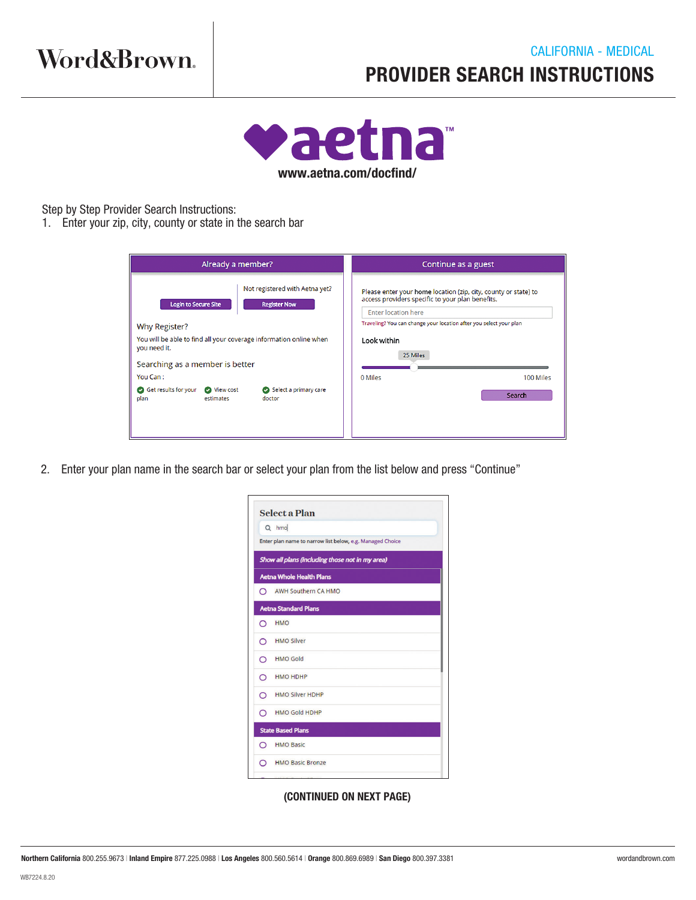

Step by Step Provider Search Instructions:

1. Enter your zip, city, county or state in the search bar

| Already a member?                                                                         | Continue as a guest                                                |  |
|-------------------------------------------------------------------------------------------|--------------------------------------------------------------------|--|
| Not registered with Aetna yet?                                                            | Please enter your home location (zip, city, county or state) to    |  |
| <b>Login to Secure Site</b>                                                               | access providers specific to your plan benefits.                   |  |
| <b>Register Now</b>                                                                       | <b>Enter location here</b>                                         |  |
| Why Register?                                                                             | Traveling? You can change your location after you select your plan |  |
| You will be able to find all your coverage information online when                        | Look within                                                        |  |
| you need it.                                                                              | 25 Miles                                                           |  |
| Searching as a member is better                                                           | 0 Miles                                                            |  |
| You Can:                                                                                  | 100 Miles                                                          |  |
| Get results for your<br>Select a primary care<br>View cost<br>plan<br>estimates<br>doctor | Search                                                             |  |

2. Enter your plan name in the search bar or select your plan from the list below and press "Continue"

|         | <b>Select a Plan</b>                                      |
|---------|-----------------------------------------------------------|
|         | Q hmo                                                     |
|         | Enter plan name to narrow list below, e.g. Managed Choice |
|         | Show all plans (including those not in my area)           |
|         | <b>Aetna Whole Health Plans</b>                           |
|         | AWH Southern CA HMO                                       |
|         | <b>Aetna Standard Plans</b>                               |
| $\circ$ | <b>HMO</b>                                                |
|         | O HMO Silver                                              |
|         | O HMO Gold                                                |
|         | O HMO HDHP                                                |
| $\circ$ | <b>HMO Silver HDHP</b>                                    |
|         | C HMO Gold HDHP                                           |
|         | <b>State Based Plans</b>                                  |
| $\circ$ | <b>HMO Basic</b>                                          |
|         | AMO Basic Bronze                                          |
|         |                                                           |

(CONTINUED ON NEXT PAGE)